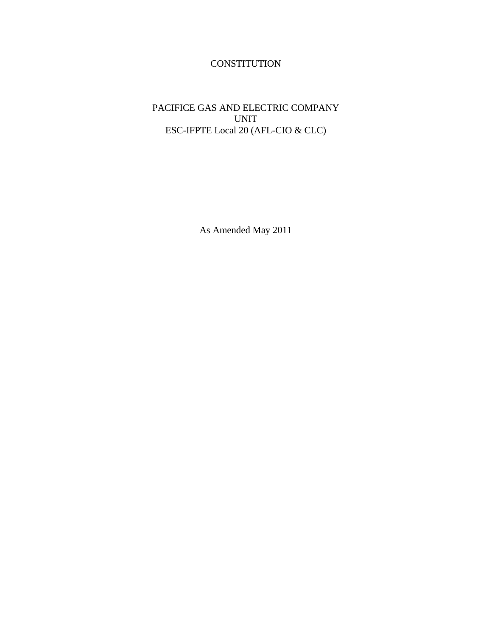# **CONSTITUTION**

## PACIFICE GAS AND ELECTRIC COMPANY UNIT ESC-IFPTE Local 20 (AFL-CIO & CLC)

As Amended May 2011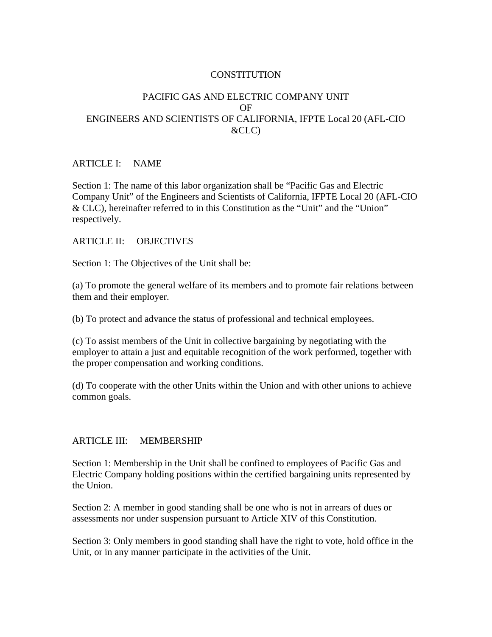#### **CONSTITUTION**

### PACIFIC GAS AND ELECTRIC COMPANY UNIT OF ENGINEERS AND SCIENTISTS OF CALIFORNIA, IFPTE Local 20 (AFL-CIO  $\&CLC$

#### ARTICLE I: NAME

Section 1: The name of this labor organization shall be "Pacific Gas and Electric Company Unit" of the Engineers and Scientists of California, IFPTE Local 20 (AFL-CIO & CLC), hereinafter referred to in this Constitution as the "Unit" and the "Union" respectively.

#### ARTICLE II: OBJECTIVES

Section 1: The Objectives of the Unit shall be:

(a) To promote the general welfare of its members and to promote fair relations between them and their employer.

(b) To protect and advance the status of professional and technical employees.

(c) To assist members of the Unit in collective bargaining by negotiating with the employer to attain a just and equitable recognition of the work performed, together with the proper compensation and working conditions.

(d) To cooperate with the other Units within the Union and with other unions to achieve common goals.

#### ARTICLE III: MEMBERSHIP

Section 1: Membership in the Unit shall be confined to employees of Pacific Gas and Electric Company holding positions within the certified bargaining units represented by the Union.

Section 2: A member in good standing shall be one who is not in arrears of dues or assessments nor under suspension pursuant to Article XIV of this Constitution.

Section 3: Only members in good standing shall have the right to vote, hold office in the Unit, or in any manner participate in the activities of the Unit.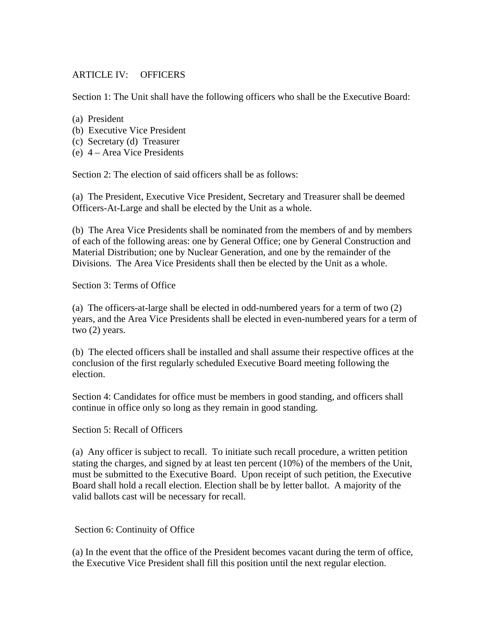### ARTICLE IV: OFFICERS

Section 1: The Unit shall have the following officers who shall be the Executive Board:

- (a) President
- (b) Executive Vice President
- (c) Secretary (d) Treasurer
- (e) 4 Area Vice Presidents

Section 2: The election of said officers shall be as follows:

(a) The President, Executive Vice President, Secretary and Treasurer shall be deemed Officers-At-Large and shall be elected by the Unit as a whole.

(b) The Area Vice Presidents shall be nominated from the members of and by members of each of the following areas: one by General Office; one by General Construction and Material Distribution; one by Nuclear Generation, and one by the remainder of the Divisions. The Area Vice Presidents shall then be elected by the Unit as a whole.

Section 3: Terms of Office

(a) The officers-at-large shall be elected in odd-numbered years for a term of two (2) years, and the Area Vice Presidents shall be elected in even-numbered years for a term of two (2) years.

(b) The elected officers shall be installed and shall assume their respective offices at the conclusion of the first regularly scheduled Executive Board meeting following the election.

Section 4: Candidates for office must be members in good standing, and officers shall continue in office only so long as they remain in good standing.

Section 5: Recall of Officers

(a) Any officer is subject to recall. To initiate such recall procedure, a written petition stating the charges, and signed by at least ten percent (10%) of the members of the Unit, must be submitted to the Executive Board. Upon receipt of such petition, the Executive Board shall hold a recall election. Election shall be by letter ballot. A majority of the valid ballots cast will be necessary for recall.

Section 6: Continuity of Office

(a) In the event that the office of the President becomes vacant during the term of office, the Executive Vice President shall fill this position until the next regular election.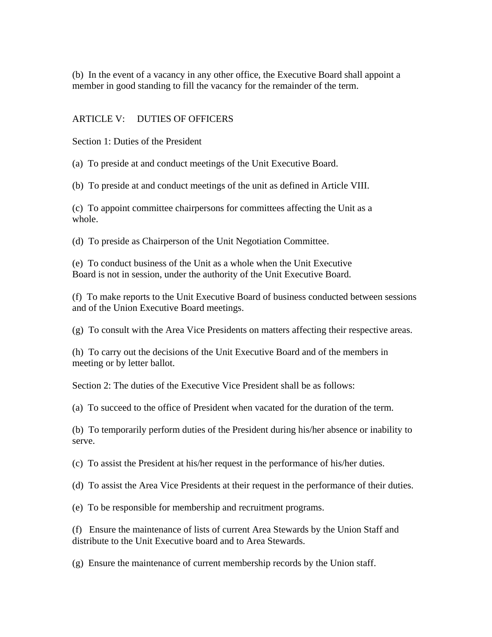(b) In the event of a vacancy in any other office, the Executive Board shall appoint a member in good standing to fill the vacancy for the remainder of the term.

#### ARTICLE V: DUTIES OF OFFICERS

Section 1: Duties of the President

(a) To preside at and conduct meetings of the Unit Executive Board.

(b) To preside at and conduct meetings of the unit as defined in Article VIII.

(c) To appoint committee chairpersons for committees affecting the Unit as a whole.

(d) To preside as Chairperson of the Unit Negotiation Committee.

(e) To conduct business of the Unit as a whole when the Unit Executive Board is not in session, under the authority of the Unit Executive Board.

(f) To make reports to the Unit Executive Board of business conducted between sessions and of the Union Executive Board meetings.

(g) To consult with the Area Vice Presidents on matters affecting their respective areas.

(h) To carry out the decisions of the Unit Executive Board and of the members in meeting or by letter ballot.

Section 2: The duties of the Executive Vice President shall be as follows:

(a) To succeed to the office of President when vacated for the duration of the term.

(b) To temporarily perform duties of the President during his/her absence or inability to serve.

(c) To assist the President at his/her request in the performance of his/her duties.

(d) To assist the Area Vice Presidents at their request in the performance of their duties.

(e) To be responsible for membership and recruitment programs.

(f) Ensure the maintenance of lists of current Area Stewards by the Union Staff and distribute to the Unit Executive board and to Area Stewards.

(g) Ensure the maintenance of current membership records by the Union staff.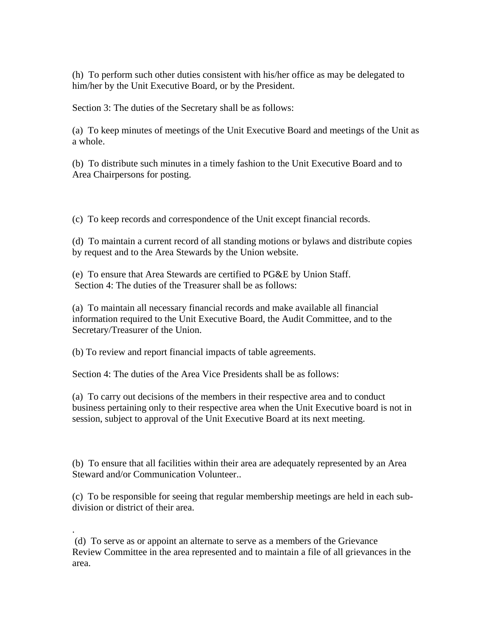(h) To perform such other duties consistent with his/her office as may be delegated to him/her by the Unit Executive Board, or by the President.

Section 3: The duties of the Secretary shall be as follows:

(a) To keep minutes of meetings of the Unit Executive Board and meetings of the Unit as a whole.

(b) To distribute such minutes in a timely fashion to the Unit Executive Board and to Area Chairpersons for posting.

(c) To keep records and correspondence of the Unit except financial records.

(d) To maintain a current record of all standing motions or bylaws and distribute copies by request and to the Area Stewards by the Union website.

(e) To ensure that Area Stewards are certified to PG&E by Union Staff. Section 4: The duties of the Treasurer shall be as follows:

(a) To maintain all necessary financial records and make available all financial information required to the Unit Executive Board, the Audit Committee, and to the Secretary/Treasurer of the Union.

(b) To review and report financial impacts of table agreements.

.

Section 4: The duties of the Area Vice Presidents shall be as follows:

(a) To carry out decisions of the members in their respective area and to conduct business pertaining only to their respective area when the Unit Executive board is not in session, subject to approval of the Unit Executive Board at its next meeting.

(b) To ensure that all facilities within their area are adequately represented by an Area Steward and/or Communication Volunteer..

(c) To be responsible for seeing that regular membership meetings are held in each subdivision or district of their area.

 (d) To serve as or appoint an alternate to serve as a members of the Grievance Review Committee in the area represented and to maintain a file of all grievances in the area.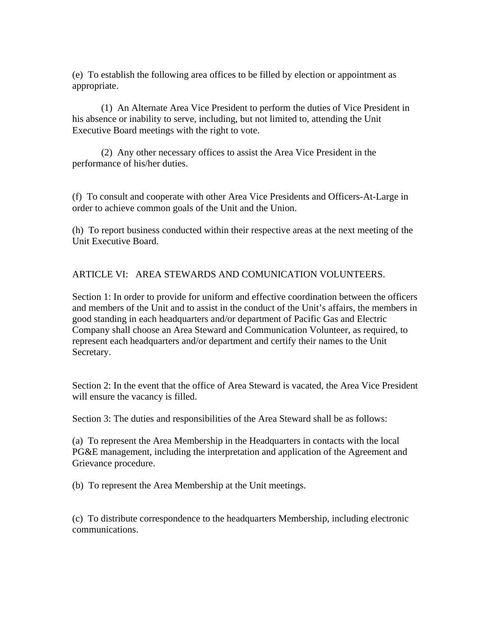(e) To establish the following area offices to be filled by election or appointment as appropriate.

(1) An Alternate Area Vice President to perform the duties of Vice President in his absence or inability to serve, including, but not limited to, attending the Unit Executive Board meetings with the right to vote.

(2) Any other necessary offices to assist the Area Vice President in the performance of his/her duties.

(f) To consult and cooperate with other Area Vice Presidents and Officers-At-Large in order to achieve common goals of the Unit and the Union.

(h) To report business conducted within their respective areas at the next meeting of the Unit Executive Board.

## ARTICLE VI: AREA STEWARDS AND COMUNICATION VOLUNTEERS.

Section 1: In order to provide for uniform and effective coordination between the officers and members of the Unit and to assist in the conduct of the Unit's affairs, the members in good standing in each headquarters and/or department of Pacific Gas and Electric Company shall choose an Area Steward and Communication Volunteer, as required, to represent each headquarters and/or department and certify their names to the Unit Secretary.

Section 2: In the event that the office of Area Steward is vacated, the Area Vice President will ensure the vacancy is filled.

Section 3: The duties and responsibilities of the Area Steward shall be as follows:

(a) To represent the Area Membership in the Headquarters in contacts with the local PG&E management, including the interpretation and application of the Agreement and Grievance procedure.

(b) To represent the Area Membership at the Unit meetings.

(c) To distribute correspondence to the headquarters Membership, including electronic communications.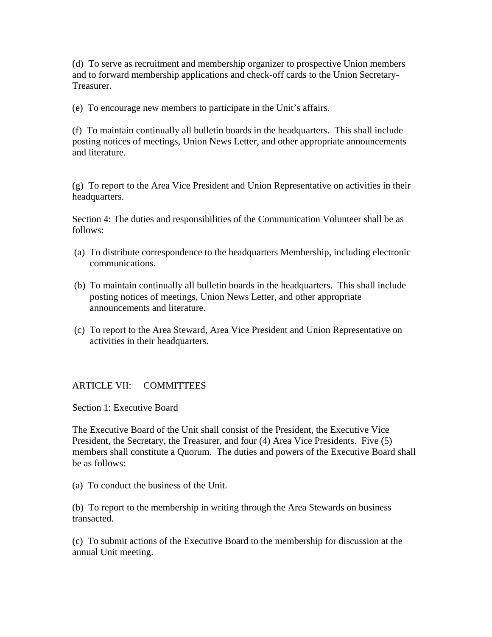(d) To serve as recruitment and membership organizer to prospective Union members and to forward membership applications and check-off cards to the Union Secretary-Treasurer.

(e) To encourage new members to participate in the Unit's affairs.

(f) To maintain continually all bulletin boards in the headquarters. This shall include posting notices of meetings, Union News Letter, and other appropriate announcements and literature.

(g) To report to the Area Vice President and Union Representative on activities in their headquarters.

Section 4: The duties and responsibilities of the Communication Volunteer shall be as follows:

- (a) To distribute correspondence to the headquarters Membership, including electronic communications.
- (b) To maintain continually all bulletin boards in the headquarters. This shall include posting notices of meetings, Union News Letter, and other appropriate announcements and literature.
- (c) To report to the Area Steward, Area Vice President and Union Representative on activities in their headquarters.

#### ARTICLE VII: COMMITTEES

Section 1: Executive Board

The Executive Board of the Unit shall consist of the President, the Executive Vice President, the Secretary, the Treasurer, and four (4) Area Vice Presidents. Five (5) members shall constitute a Quorum. The duties and powers of the Executive Board shall be as follows:

(a) To conduct the business of the Unit.

(b) To report to the membership in writing through the Area Stewards on business transacted.

(c) To submit actions of the Executive Board to the membership for discussion at the annual Unit meeting.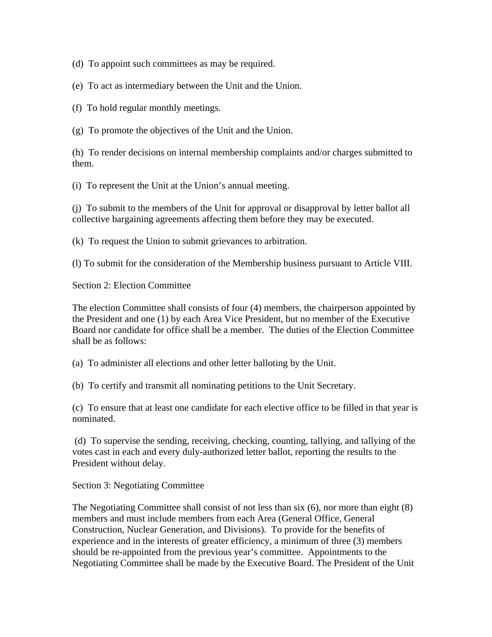(d) To appoint such committees as may be required.

(e) To act as intermediary between the Unit and the Union.

(f) To hold regular monthly meetings.

(g) To promote the objectives of the Unit and the Union.

(h) To render decisions on internal membership complaints and/or charges submitted to them.

(i) To represent the Unit at the Union's annual meeting.

(j) To submit to the members of the Unit for approval or disapproval by letter ballot all collective bargaining agreements affecting them before they may be executed.

(k) To request the Union to submit grievances to arbitration.

(l) To submit for the consideration of the Membership business pursuant to Article VIII.

Section 2: Election Committee

The election Committee shall consists of four (4) members, the chairperson appointed by the President and one (1) by each Area Vice President, but no member of the Executive Board nor candidate for office shall be a member. The duties of the Election Committee shall be as follows:

(a) To administer all elections and other letter balloting by the Unit.

(b) To certify and transmit all nominating petitions to the Unit Secretary.

(c) To ensure that at least one candidate for each elective office to be filled in that year is nominated.

 (d) To supervise the sending, receiving, checking, counting, tallying, and tallying of the votes cast in each and every duly-authorized letter ballot, reporting the results to the President without delay.

Section 3: Negotiating Committee

The Negotiating Committee shall consist of not less than six (6), nor more than eight (8) members and must include members from each Area (General Office, General Construction, Nuclear Generation, and Divisions). To provide for the benefits of experience and in the interests of greater efficiency, a minimum of three (3) members should be re-appointed from the previous year's committee. Appointments to the Negotiating Committee shall be made by the Executive Board. The President of the Unit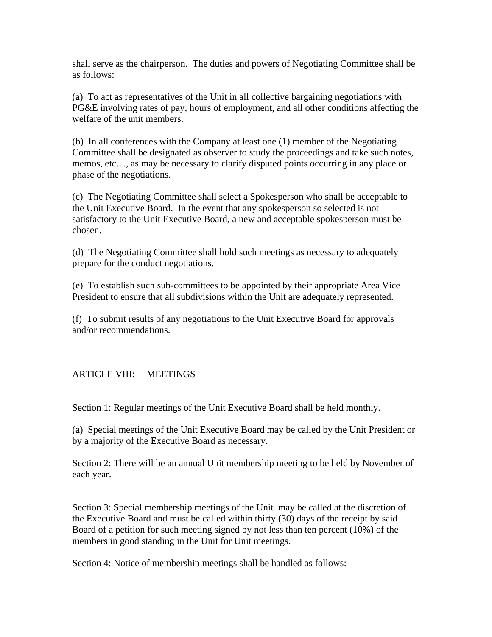shall serve as the chairperson. The duties and powers of Negotiating Committee shall be as follows:

(a) To act as representatives of the Unit in all collective bargaining negotiations with PG&E involving rates of pay, hours of employment, and all other conditions affecting the welfare of the unit members.

(b) In all conferences with the Company at least one (1) member of the Negotiating Committee shall be designated as observer to study the proceedings and take such notes, memos, etc…, as may be necessary to clarify disputed points occurring in any place or phase of the negotiations.

(c) The Negotiating Committee shall select a Spokesperson who shall be acceptable to the Unit Executive Board. In the event that any spokesperson so selected is not satisfactory to the Unit Executive Board, a new and acceptable spokesperson must be chosen.

(d) The Negotiating Committee shall hold such meetings as necessary to adequately prepare for the conduct negotiations.

(e) To establish such sub-committees to be appointed by their appropriate Area Vice President to ensure that all subdivisions within the Unit are adequately represented.

(f) To submit results of any negotiations to the Unit Executive Board for approvals and/or recommendations.

## ARTICLE VIII: MEETINGS

Section 1: Regular meetings of the Unit Executive Board shall be held monthly.

(a) Special meetings of the Unit Executive Board may be called by the Unit President or by a majority of the Executive Board as necessary.

Section 2: There will be an annual Unit membership meeting to be held by November of each year.

Section 3: Special membership meetings of the Unit may be called at the discretion of the Executive Board and must be called within thirty (30) days of the receipt by said Board of a petition for such meeting signed by not less than ten percent (10%) of the members in good standing in the Unit for Unit meetings.

Section 4: Notice of membership meetings shall be handled as follows: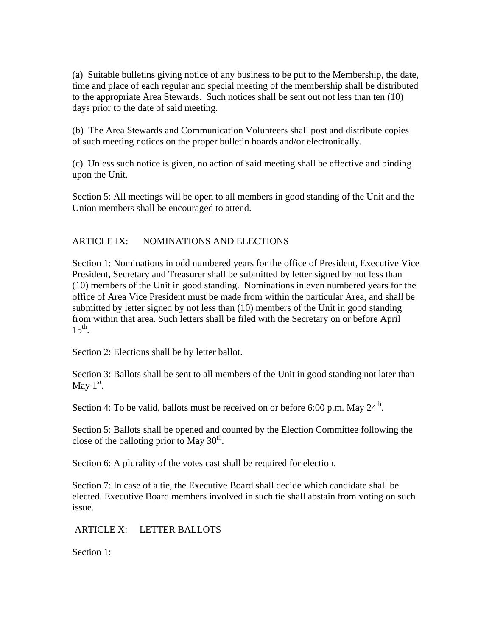(a) Suitable bulletins giving notice of any business to be put to the Membership, the date, time and place of each regular and special meeting of the membership shall be distributed to the appropriate Area Stewards. Such notices shall be sent out not less than ten (10) days prior to the date of said meeting.

(b) The Area Stewards and Communication Volunteers shall post and distribute copies of such meeting notices on the proper bulletin boards and/or electronically.

(c) Unless such notice is given, no action of said meeting shall be effective and binding upon the Unit.

Section 5: All meetings will be open to all members in good standing of the Unit and the Union members shall be encouraged to attend.

## ARTICLE IX: NOMINATIONS AND ELECTIONS

Section 1: Nominations in odd numbered years for the office of President, Executive Vice President, Secretary and Treasurer shall be submitted by letter signed by not less than (10) members of the Unit in good standing. Nominations in even numbered years for the office of Area Vice President must be made from within the particular Area, and shall be submitted by letter signed by not less than (10) members of the Unit in good standing from within that area. Such letters shall be filed with the Secretary on or before April  $15^{th}$ .

Section 2: Elections shall be by letter ballot.

Section 3: Ballots shall be sent to all members of the Unit in good standing not later than May  $1<sup>st</sup>$ .

Section 4: To be valid, ballots must be received on or before 6:00 p.m. May  $24<sup>th</sup>$ .

Section 5: Ballots shall be opened and counted by the Election Committee following the close of the balloting prior to May  $30<sup>th</sup>$ .

Section 6: A plurality of the votes cast shall be required for election.

Section 7: In case of a tie, the Executive Board shall decide which candidate shall be elected. Executive Board members involved in such tie shall abstain from voting on such issue.

ARTICLE X: LETTER BALLOTS

Section 1: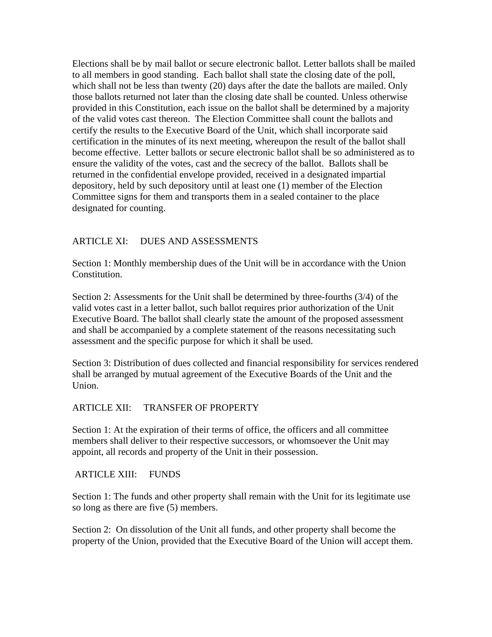Elections shall be by mail ballot or secure electronic ballot. Letter ballots shall be mailed to all members in good standing. Each ballot shall state the closing date of the poll, which shall not be less than twenty (20) days after the date the ballots are mailed. Only those ballots returned not later than the closing date shall be counted. Unless otherwise provided in this Constitution, each issue on the ballot shall be determined by a majority of the valid votes cast thereon. The Election Committee shall count the ballots and certify the results to the Executive Board of the Unit, which shall incorporate said certification in the minutes of its next meeting, whereupon the result of the ballot shall become effective. Letter ballots or secure electronic ballot shall be so administered as to ensure the validity of the votes, cast and the secrecy of the ballot. Ballots shall be returned in the confidential envelope provided, received in a designated impartial depository, held by such depository until at least one (1) member of the Election Committee signs for them and transports them in a sealed container to the place designated for counting.

## ARTICLE XI: DUES AND ASSESSMENTS

Section 1: Monthly membership dues of the Unit will be in accordance with the Union Constitution.

Section 2: Assessments for the Unit shall be determined by three-fourths (3/4) of the valid votes cast in a letter ballot, such ballot requires prior authorization of the Unit Executive Board. The ballot shall clearly state the amount of the proposed assessment and shall be accompanied by a complete statement of the reasons necessitating such assessment and the specific purpose for which it shall be used.

Section 3: Distribution of dues collected and financial responsibility for services rendered shall be arranged by mutual agreement of the Executive Boards of the Unit and the Union.

#### ARTICLE XII: TRANSFER OF PROPERTY

Section 1: At the expiration of their terms of office, the officers and all committee members shall deliver to their respective successors, or whomsoever the Unit may appoint, all records and property of the Unit in their possession.

ARTICLE XIII: FUNDS

Section 1: The funds and other property shall remain with the Unit for its legitimate use so long as there are five (5) members.

Section 2: On dissolution of the Unit all funds, and other property shall become the property of the Union, provided that the Executive Board of the Union will accept them.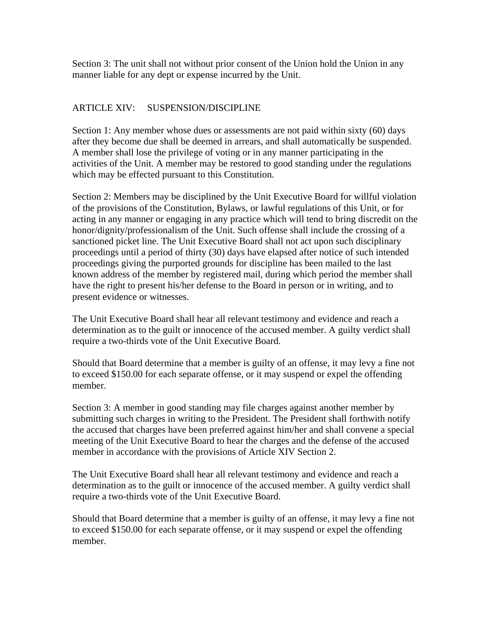Section 3: The unit shall not without prior consent of the Union hold the Union in any manner liable for any dept or expense incurred by the Unit.

## ARTICLE XIV: SUSPENSION/DISCIPLINE

Section 1: Any member whose dues or assessments are not paid within sixty (60) days after they become due shall be deemed in arrears, and shall automatically be suspended. A member shall lose the privilege of voting or in any manner participating in the activities of the Unit. A member may be restored to good standing under the regulations which may be effected pursuant to this Constitution.

Section 2: Members may be disciplined by the Unit Executive Board for willful violation of the provisions of the Constitution, Bylaws, or lawful regulations of this Unit, or for acting in any manner or engaging in any practice which will tend to bring discredit on the honor/dignity/professionalism of the Unit. Such offense shall include the crossing of a sanctioned picket line. The Unit Executive Board shall not act upon such disciplinary proceedings until a period of thirty (30) days have elapsed after notice of such intended proceedings giving the purported grounds for discipline has been mailed to the last known address of the member by registered mail, during which period the member shall have the right to present his/her defense to the Board in person or in writing, and to present evidence or witnesses.

The Unit Executive Board shall hear all relevant testimony and evidence and reach a determination as to the guilt or innocence of the accused member. A guilty verdict shall require a two-thirds vote of the Unit Executive Board.

Should that Board determine that a member is guilty of an offense, it may levy a fine not to exceed \$150.00 for each separate offense, or it may suspend or expel the offending member.

Section 3: A member in good standing may file charges against another member by submitting such charges in writing to the President. The President shall forthwith notify the accused that charges have been preferred against him/her and shall convene a special meeting of the Unit Executive Board to hear the charges and the defense of the accused member in accordance with the provisions of Article XIV Section 2.

The Unit Executive Board shall hear all relevant testimony and evidence and reach a determination as to the guilt or innocence of the accused member. A guilty verdict shall require a two-thirds vote of the Unit Executive Board.

Should that Board determine that a member is guilty of an offense, it may levy a fine not to exceed \$150.00 for each separate offense, or it may suspend or expel the offending member.